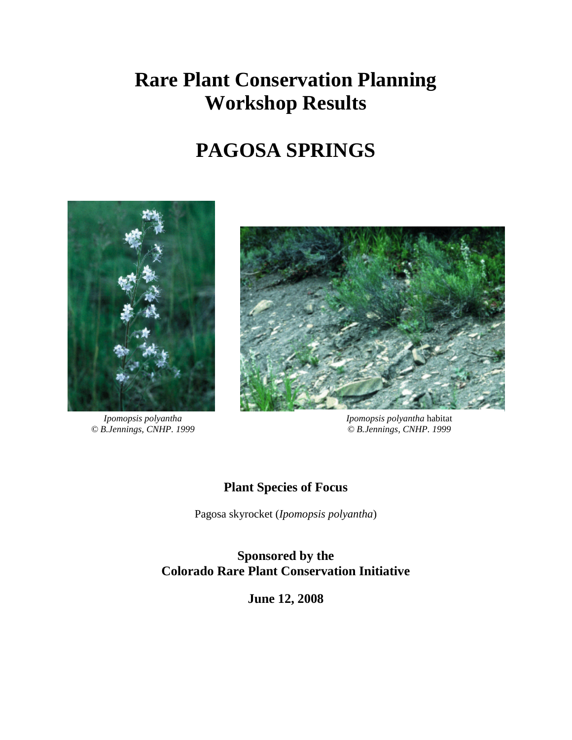# **Rare Plant Conservation Planning Workshop Results**

# **PAGOSA SPRINGS**



*Ipomopsis polyantha © B.Jennings, CNHP. 1999*



*Ipomopsis polyantha* habitat *© B.Jennings, CNHP. 1999*

#### **Plant Species of Focus**

Pagosa skyrocket (*Ipomopsis polyantha*)

**Sponsored by the Colorado Rare Plant Conservation Initiative**

**June 12, 2008**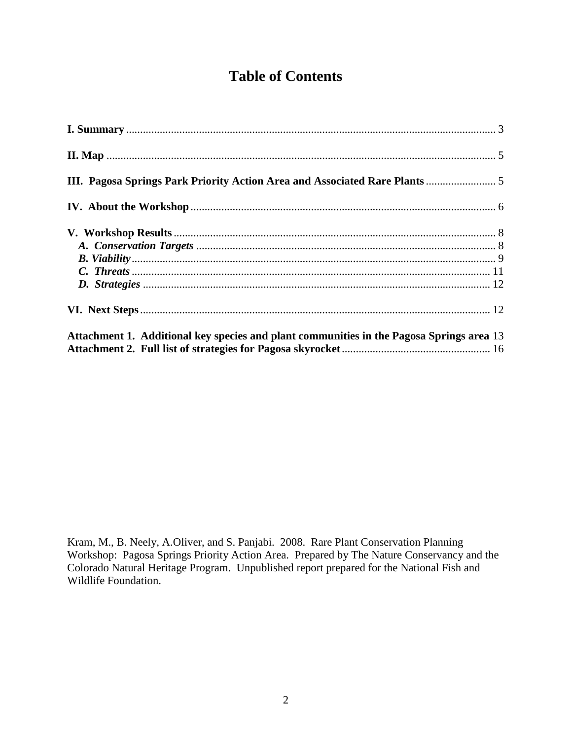### **Table of Contents**

| Attachment 1. Additional key species and plant communities in the Pagosa Springs area 13 |  |
|------------------------------------------------------------------------------------------|--|
|                                                                                          |  |

Kram, M., B. Neely, A.Oliver, and S. Panjabi. 2008. Rare Plant Conservation Planning Workshop: Pagosa Springs Priority Action Area. Prepared by The Nature Conservancy and the Colorado Natural Heritage Program. Unpublished report prepared for the National Fish and Wildlife Foundation.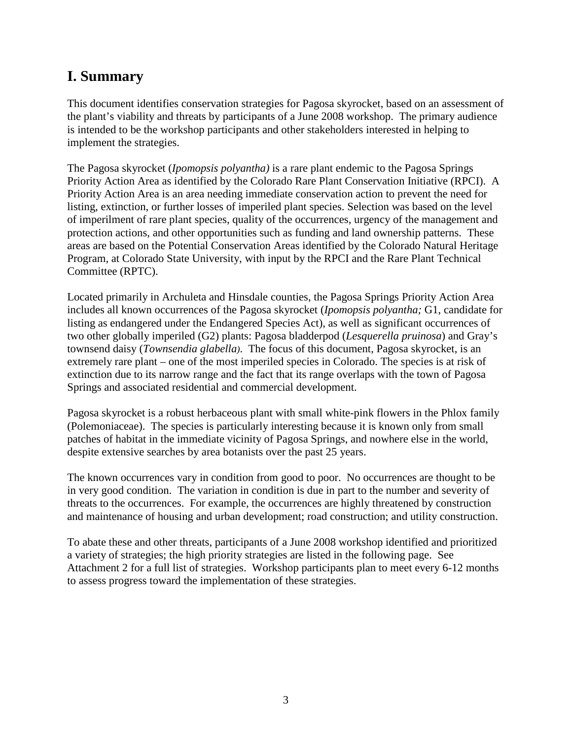# <span id="page-2-0"></span>**I. Summary**

This document identifies conservation strategies for Pagosa skyrocket, based on an assessment of the plant's viability and threats by participants of a June 2008 workshop. The primary audience is intended to be the workshop participants and other stakeholders interested in helping to implement the strategies.

The Pagosa skyrocket (*Ipomopsis polyantha)* is a rare plant endemic to the Pagosa Springs Priority Action Area as identified by the Colorado Rare Plant Conservation Initiative (RPCI). A Priority Action Area is an area needing immediate conservation action to prevent the need for listing, extinction, or further losses of imperiled plant species. Selection was based on the level of imperilment of rare plant species, quality of the occurrences, urgency of the management and protection actions, and other opportunities such as funding and land ownership patterns. These areas are based on the Potential Conservation Areas identified by the Colorado Natural Heritage Program, at Colorado State University, with input by the RPCI and the Rare Plant Technical Committee (RPTC).

Located primarily in Archuleta and Hinsdale counties, the Pagosa Springs Priority Action Area includes all known occurrences of the Pagosa skyrocket (*Ipomopsis polyantha;* G1, candidate for listing as endangered under the Endangered Species Act), as well as significant occurrences of two other globally imperiled (G2) plants: Pagosa bladderpod (*Lesquerella pruinosa*) and Gray's townsend daisy (*Townsendia glabella)*. The focus of this document, Pagosa skyrocket, is an extremely rare plant – one of the most imperiled species in Colorado. The species is at risk of extinction due to its narrow range and the fact that its range overlaps with the town of Pagosa Springs and associated residential and commercial development.

Pagosa skyrocket is a robust herbaceous plant with small white-pink flowers in the Phlox family (Polemoniaceae). The species is particularly interesting because it is known only from small patches of habitat in the immediate vicinity of Pagosa Springs, and nowhere else in the world, despite extensive searches by area botanists over the past 25 years.

The known occurrences vary in condition from good to poor. No occurrences are thought to be in very good condition. The variation in condition is due in part to the number and severity of threats to the occurrences. For example, the occurrences are highly threatened by construction and maintenance of housing and urban development; road construction; and utility construction.

To abate these and other threats, participants of a June 2008 workshop identified and prioritized a variety of strategies; the high priority strategies are listed in the following page. See Attachment 2 for a full list of strategies. Workshop participants plan to meet every 6-12 months to assess progress toward the implementation of these strategies.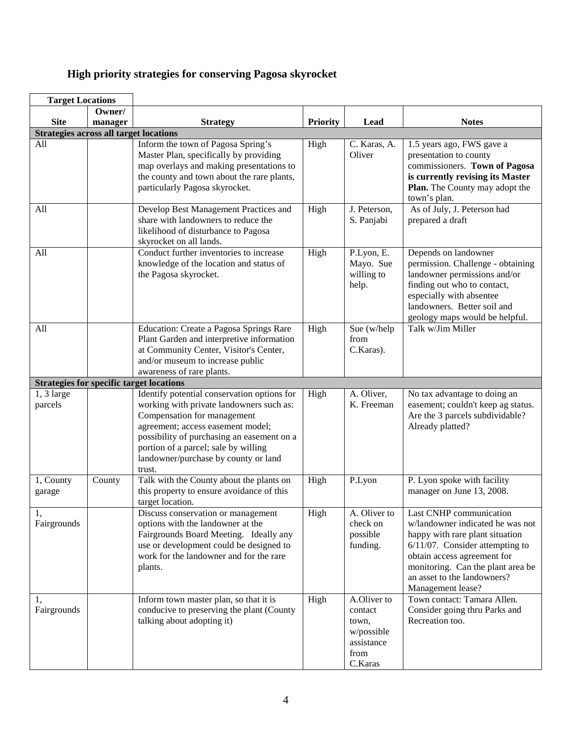### **High priority strategies for conserving Pagosa skyrocket**

| <b>Target Locations</b>                         |         |                                                                                                                                                                                                                                                                                                     |                 |                                                                                |                                                                                                                                                                                                                                                              |
|-------------------------------------------------|---------|-----------------------------------------------------------------------------------------------------------------------------------------------------------------------------------------------------------------------------------------------------------------------------------------------------|-----------------|--------------------------------------------------------------------------------|--------------------------------------------------------------------------------------------------------------------------------------------------------------------------------------------------------------------------------------------------------------|
|                                                 | Owner/  |                                                                                                                                                                                                                                                                                                     |                 |                                                                                |                                                                                                                                                                                                                                                              |
| <b>Site</b>                                     | manager | <b>Strategy</b>                                                                                                                                                                                                                                                                                     | <b>Priority</b> | Lead                                                                           | <b>Notes</b>                                                                                                                                                                                                                                                 |
| <b>Strategies across all target locations</b>   |         |                                                                                                                                                                                                                                                                                                     |                 |                                                                                |                                                                                                                                                                                                                                                              |
| All                                             |         | Inform the town of Pagosa Spring's<br>Master Plan, specifically by providing<br>map overlays and making presentations to<br>the county and town about the rare plants,<br>particularly Pagosa skyrocket.                                                                                            | High            | C. Karas, A.<br>Oliver                                                         | 1.5 years ago, FWS gave a<br>presentation to county<br>commissioners. Town of Pagosa<br>is currently revising its Master<br><b>Plan.</b> The County may adopt the<br>town's plan.                                                                            |
| All                                             |         | Develop Best Management Practices and<br>share with landowners to reduce the<br>likelihood of disturbance to Pagosa<br>skyrocket on all lands.                                                                                                                                                      | High            | J. Peterson,<br>S. Panjabi                                                     | As of July, J. Peterson had<br>prepared a draft                                                                                                                                                                                                              |
| All                                             |         | Conduct further inventories to increase<br>knowledge of the location and status of<br>the Pagosa skyrocket.                                                                                                                                                                                         | High            | P.Lyon, E.<br>Mayo. Sue<br>willing to<br>help.                                 | Depends on landowner<br>permission. Challenge - obtaining<br>landowner permissions and/or<br>finding out who to contact,<br>especially with absentee<br>landowners. Better soil and<br>geology maps would be helpful.                                        |
| All                                             |         | Education: Create a Pagosa Springs Rare<br>Plant Garden and interpretive information<br>at Community Center, Visitor's Center,<br>and/or museum to increase public<br>awareness of rare plants.                                                                                                     | High            | Sue (w/help<br>from<br>C.Karas).                                               | Talk w/Jim Miller                                                                                                                                                                                                                                            |
| <b>Strategies for specific target locations</b> |         |                                                                                                                                                                                                                                                                                                     |                 |                                                                                |                                                                                                                                                                                                                                                              |
| $1, 3$ large<br>parcels                         |         | Identify potential conservation options for<br>working with private landowners such as:<br>Compensation for management<br>agreement; access easement model;<br>possibility of purchasing an easement on a<br>portion of a parcel; sale by willing<br>landowner/purchase by county or land<br>trust. | High            | A. Oliver,<br>K. Freeman                                                       | No tax advantage to doing an<br>easement; couldn't keep ag status.<br>Are the 3 parcels subdividable?<br>Already platted?                                                                                                                                    |
| 1, County<br>garage                             | County  | Talk with the County about the plants on<br>this property to ensure avoidance of this<br>target location.                                                                                                                                                                                           | High            | P.Lyon                                                                         | P. Lyon spoke with facility<br>manager on June 13, 2008.                                                                                                                                                                                                     |
| 1,<br>Fairgrounds                               |         | Discuss conservation or management<br>options with the landowner at the<br>Fairgrounds Board Meeting. Ideally any<br>use or development could be designed to<br>work for the landowner and for the rare<br>plants.                                                                                  | High            | A. Oliver to<br>check on<br>possible<br>funding.                               | Last CNHP communication<br>w/landowner indicated he was not<br>happy with rare plant situation<br>$6/11/07$ . Consider attempting to<br>obtain access agreement for<br>monitoring. Can the plant area be<br>an asset to the landowners?<br>Management lease? |
| 1,<br>Fairgrounds                               |         | Inform town master plan, so that it is<br>conducive to preserving the plant (County<br>talking about adopting it)                                                                                                                                                                                   | High            | A.Oliver to<br>contact<br>town.<br>w/possible<br>assistance<br>from<br>C.Karas | Town contact: Tamara Allen.<br>Consider going thru Parks and<br>Recreation too.                                                                                                                                                                              |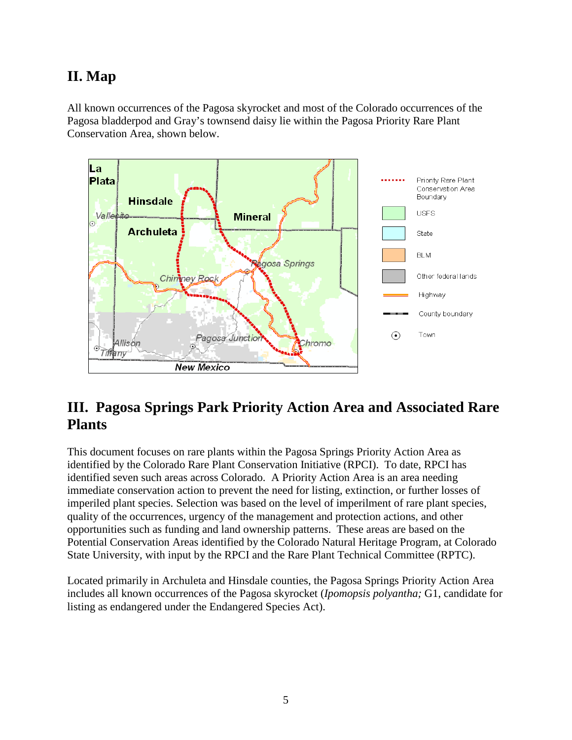# <span id="page-4-0"></span>**II. Map**

All known occurrences of the Pagosa skyrocket and most of the Colorado occurrences of the Pagosa bladderpod and Gray's townsend daisy lie within the Pagosa Priority Rare Plant Conservation Area, shown below.



# <span id="page-4-1"></span>**III. Pagosa Springs Park Priority Action Area and Associated Rare Plants**

This document focuses on rare plants within the Pagosa Springs Priority Action Area as identified by the Colorado Rare Plant Conservation Initiative (RPCI). To date, RPCI has identified seven such areas across Colorado. A Priority Action Area is an area needing immediate conservation action to prevent the need for listing, extinction, or further losses of imperiled plant species. Selection was based on the level of imperilment of rare plant species, quality of the occurrences, urgency of the management and protection actions, and other opportunities such as funding and land ownership patterns. These areas are based on the Potential Conservation Areas identified by the Colorado Natural Heritage Program, at Colorado State University, with input by the RPCI and the Rare Plant Technical Committee (RPTC).

Located primarily in Archuleta and Hinsdale counties, the Pagosa Springs Priority Action Area includes all known occurrences of the Pagosa skyrocket (*Ipomopsis polyantha;* G1, candidate for listing as endangered under the Endangered Species Act).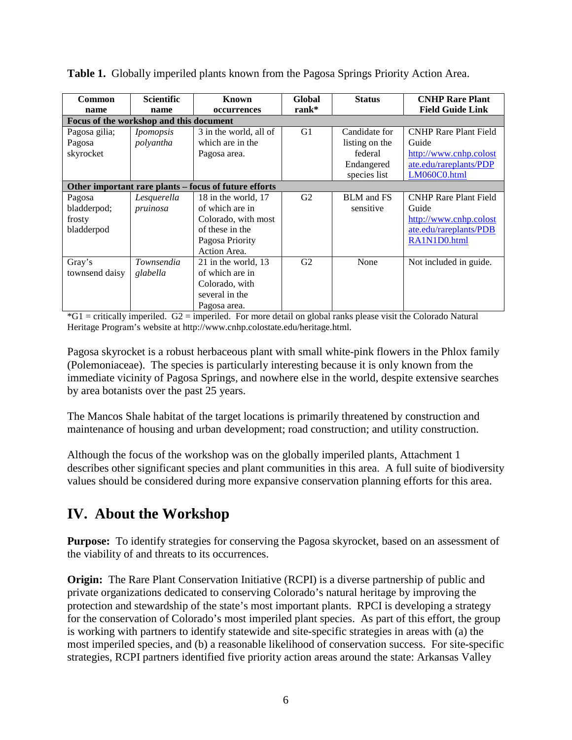| Common<br>name                          | <b>Scientific</b><br>name | Known<br>occurrences                                  | Global<br>$rank^*$ | <b>Status</b>     | <b>CNHP Rare Plant</b><br><b>Field Guide Link</b> |
|-----------------------------------------|---------------------------|-------------------------------------------------------|--------------------|-------------------|---------------------------------------------------|
| Focus of the workshop and this document |                           |                                                       |                    |                   |                                                   |
| Pagosa gilia;                           | <i>Ipomopsis</i>          | 3 in the world, all of                                | G1                 | Candidate for     | <b>CNHP Rare Plant Field</b>                      |
| Pagosa                                  | polyantha                 | which are in the                                      |                    | listing on the    | Guide                                             |
| skyrocket                               |                           | Pagosa area.                                          |                    | federal           | http://www.cnhp.colost                            |
|                                         |                           |                                                       |                    | Endangered        | ate.edu/rareplants/PDP                            |
|                                         |                           |                                                       |                    | species list      | LM060C0.html                                      |
|                                         |                           | Other important rare plants – focus of future efforts |                    |                   |                                                   |
| Pagosa                                  | Lesquerella               | 18 in the world, 17                                   | G <sub>2</sub>     | <b>BLM</b> and FS | <b>CNHP Rare Plant Field</b>                      |
| bladderpod;                             | pruinosa                  | of which are in                                       |                    | sensitive         | Guide                                             |
| frosty                                  |                           | Colorado, with most                                   |                    |                   | http://www.cnhp.colost                            |
| bladderpod                              |                           | of these in the                                       |                    |                   | ate.edu/rareplants/PDB                            |
|                                         |                           | Pagosa Priority                                       |                    |                   | RA1N1D0.html                                      |
|                                         |                           | Action Area.                                          |                    |                   |                                                   |
| Gray's                                  | Townsendia                | 21 in the world, 13                                   | G <sub>2</sub>     | None              | Not included in guide.                            |
| townsend daisy                          | glabella                  | of which are in                                       |                    |                   |                                                   |
|                                         |                           | Colorado, with                                        |                    |                   |                                                   |
|                                         |                           | several in the                                        |                    |                   |                                                   |
|                                         |                           | Pagosa area.                                          |                    |                   |                                                   |

**Table 1.** Globally imperiled plants known from the Pagosa Springs Priority Action Area.

 $*G1$  = critically imperiled.  $G2$  = imperiled. For more detail on global ranks please visit the Colorado Natural Heritage Program's website at http://www.cnhp.colostate.edu/heritage.html.

Pagosa skyrocket is a robust herbaceous plant with small white-pink flowers in the Phlox family (Polemoniaceae). The species is particularly interesting because it is only known from the immediate vicinity of Pagosa Springs, and nowhere else in the world, despite extensive searches by area botanists over the past 25 years.

The Mancos Shale habitat of the target locations is primarily threatened by construction and maintenance of housing and urban development; road construction; and utility construction.

Although the focus of the workshop was on the globally imperiled plants, Attachment 1 describes other significant species and plant communities in this area. A full suite of biodiversity values should be considered during more expansive conservation planning efforts for this area.

### <span id="page-5-0"></span>**IV. About the Workshop**

**Purpose:** To identify strategies for conserving the Pagosa skyrocket, based on an assessment of the viability of and threats to its occurrences.

**Origin:** The Rare Plant Conservation Initiative (RCPI) is a diverse partnership of public and private organizations dedicated to conserving Colorado's natural heritage by improving the protection and stewardship of the state's most important plants. RPCI is developing a strategy for the conservation of Colorado's most imperiled plant species. As part of this effort, the group is working with partners to identify statewide and site-specific strategies in areas with (a) the most imperiled species, and (b) a reasonable likelihood of conservation success. For site-specific strategies, RCPI partners identified five priority action areas around the state: Arkansas Valley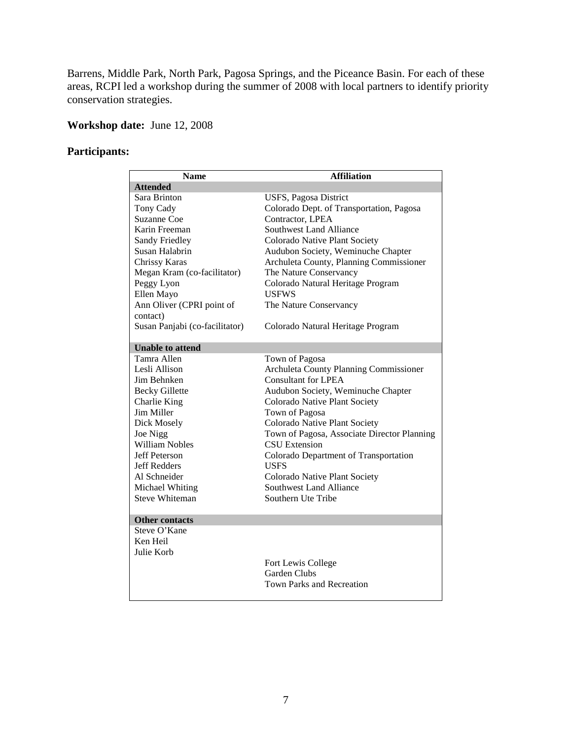Barrens, Middle Park, North Park, Pagosa Springs, and the Piceance Basin. For each of these areas, RCPI led a workshop during the summer of 2008 with local partners to identify priority conservation strategies.

#### **Workshop date:** June 12, 2008

#### **Participants:**

| <b>Name</b>                    | <b>Affiliation</b>                            |
|--------------------------------|-----------------------------------------------|
| <b>Attended</b>                |                                               |
| Sara Brinton                   | USFS, Pagosa District                         |
| Tony Cady                      | Colorado Dept. of Transportation, Pagosa      |
| <b>Suzanne Coe</b>             | Contractor, LPEA                              |
| Karin Freeman                  | Southwest Land Alliance                       |
| Sandy Friedley                 | Colorado Native Plant Society                 |
| Susan Halabrin                 | Audubon Society, Weminuche Chapter            |
| Chrissy Karas                  | Archuleta County, Planning Commissioner       |
| Megan Kram (co-facilitator)    | The Nature Conservancy                        |
| Peggy Lyon                     | Colorado Natural Heritage Program             |
| Ellen Mayo                     | <b>USFWS</b>                                  |
| Ann Oliver (CPRI point of      | The Nature Conservancy                        |
| contact)                       |                                               |
| Susan Panjabi (co-facilitator) | Colorado Natural Heritage Program             |
|                                |                                               |
| <b>Unable to attend</b>        |                                               |
| Tamra Allen                    | Town of Pagosa                                |
| Lesli Allison                  | <b>Archuleta County Planning Commissioner</b> |
| Jim Behnken                    | <b>Consultant for LPEA</b>                    |
| <b>Becky Gillette</b>          | Audubon Society, Weminuche Chapter            |
| Charlie King                   | Colorado Native Plant Society                 |
| <b>Jim Miller</b>              | Town of Pagosa                                |
| Dick Mosely                    | Colorado Native Plant Society                 |
| Joe Nigg                       | Town of Pagosa, Associate Director Planning   |
| <b>William Nobles</b>          | <b>CSU Extension</b>                          |
| <b>Jeff Peterson</b>           | Colorado Department of Transportation         |
| <b>Jeff Redders</b>            | <b>USFS</b>                                   |
| Al Schneider                   | Colorado Native Plant Society                 |
| Michael Whiting                | Southwest Land Alliance                       |
| Steve Whiteman                 | Southern Ute Tribe                            |
| <b>Other contacts</b>          |                                               |
| Steve O'Kane                   |                                               |
| Ken Heil                       |                                               |
| Julie Korb                     |                                               |
|                                | Fort Lewis College                            |
|                                | <b>Garden Clubs</b>                           |
|                                | <b>Town Parks and Recreation</b>              |
|                                |                                               |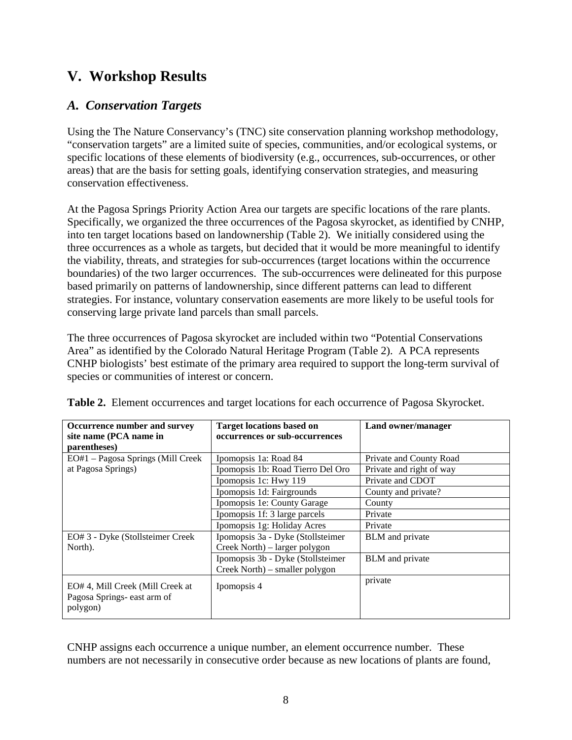# <span id="page-7-0"></span>**V. Workshop Results**

### <span id="page-7-1"></span>*A. Conservation Targets*

Using the The Nature Conservancy's (TNC) site conservation planning workshop methodology, "conservation targets" are a limited suite of species, communities, and/or ecological systems, or specific locations of these elements of biodiversity (e.g., occurrences, sub-occurrences, or other areas) that are the basis for setting goals, identifying conservation strategies, and measuring conservation effectiveness.

At the Pagosa Springs Priority Action Area our targets are specific locations of the rare plants. Specifically, we organized the three occurrences of the Pagosa skyrocket, as identified by CNHP, into ten target locations based on landownership (Table 2). We initially considered using the three occurrences as a whole as targets, but decided that it would be more meaningful to identify the viability, threats, and strategies for sub-occurrences (target locations within the occurrence boundaries) of the two larger occurrences. The sub-occurrences were delineated for this purpose based primarily on patterns of landownership, since different patterns can lead to different strategies. For instance, voluntary conservation easements are more likely to be useful tools for conserving large private land parcels than small parcels.

The three occurrences of Pagosa skyrocket are included within two "Potential Conservations Area" as identified by the Colorado Natural Heritage Program (Table 2). A PCA represents CNHP biologists' best estimate of the primary area required to support the long-term survival of species or communities of interest or concern.

| Occurrence number and survey<br>site name (PCA name in<br>parentheses)      | <b>Target locations based on</b><br>occurrences or sub-occurrences  | Land owner/manager       |
|-----------------------------------------------------------------------------|---------------------------------------------------------------------|--------------------------|
| EO#1 - Pagosa Springs (Mill Creek                                           | Ipomopsis 1a: Road 84                                               | Private and County Road  |
| at Pagosa Springs)                                                          | Ipomopsis 1b: Road Tierro Del Oro                                   | Private and right of way |
|                                                                             | Ipomopsis 1c: Hwy 119                                               | Private and CDOT         |
|                                                                             | Ipomopsis 1d: Fairgrounds                                           | County and private?      |
|                                                                             | Ipomopsis 1e: County Garage                                         | County                   |
|                                                                             | Ipomopsis 1f: 3 large parcels                                       | Private                  |
|                                                                             | Ipomopsis 1g: Holiday Acres                                         | Private                  |
| EO# 3 - Dyke (Stollsteimer Creek<br>North).                                 | Ipomopsis 3a - Dyke (Stollsteimer<br>Creek North) – larger polygon  | <b>BLM</b> and private   |
|                                                                             | Ipomopsis 3b - Dyke (Stollsteimer<br>Creek North) – smaller polygon | <b>BLM</b> and private   |
| EO# 4, Mill Creek (Mill Creek at<br>Pagosa Springs- east arm of<br>polygon) | Ipomopsis 4                                                         | private                  |

**Table 2.** Element occurrences and target locations for each occurrence of Pagosa Skyrocket.

CNHP assigns each occurrence a unique number, an element occurrence number. These numbers are not necessarily in consecutive order because as new locations of plants are found,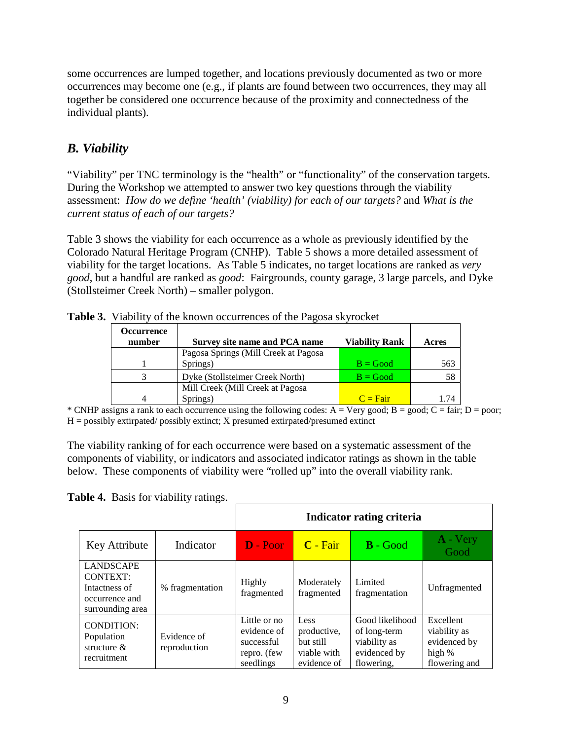some occurrences are lumped together, and locations previously documented as two or more occurrences may become one (e.g., if plants are found between two occurrences, they may all together be considered one occurrence because of the proximity and connectedness of the individual plants).

### <span id="page-8-0"></span>*B. Viability*

"Viability" per TNC terminology is the "health" or "functionality" of the conservation targets. During the Workshop we attempted to answer two key questions through the viability assessment: *How do we define 'health' (viability) for each of our targets?* and *What is the current status of each of our targets?*

Table 3 shows the viability for each occurrence as a whole as previously identified by the Colorado Natural Heritage Program (CNHP). Table 5 shows a more detailed assessment of viability for the target locations. As Table 5 indicates, no target locations are ranked as *very good*, but a handful are ranked as *good*: Fairgrounds, county garage, 3 large parcels, and Dyke (Stollsteimer Creek North) – smaller polygon.

| Occurrence<br>number | Survey site name and PCA name        | <b>Viability Rank</b> | Acres |
|----------------------|--------------------------------------|-----------------------|-------|
|                      | Pagosa Springs (Mill Creek at Pagosa |                       |       |
|                      | Springs)                             | $B = Good$            | 563   |
|                      | Dyke (Stollsteimer Creek North)      | $B = Good$            | 58    |
|                      | Mill Creek (Mill Creek at Pagosa     |                       |       |
|                      | Springs)                             | $C = Fair$            | 74    |

**Table 3.** Viability of the known occurrences of the Pagosa skyrocket

\* CNHP assigns a rank to each occurrence using the following codes:  $A = Very$  good;  $B = good$ ;  $C = fair$ ;  $D = poor$ ;  $H =$  possibly extirpated/ possibly extinct;  $X$  presumed extirpated/presumed extinct

The viability ranking of for each occurrence were based on a systematic assessment of the components of viability, or indicators and associated indicator ratings as shown in the table below. These components of viability were "rolled up" into the overall viability rank.

**Table 4.** Basis for viability ratings.

|                                                                                            |                             | Indicator rating criteria                                             |                                                                |                                                                               |                                                                      |  |  |
|--------------------------------------------------------------------------------------------|-----------------------------|-----------------------------------------------------------------------|----------------------------------------------------------------|-------------------------------------------------------------------------------|----------------------------------------------------------------------|--|--|
| Key Attribute                                                                              | Indicator                   | D - Poor                                                              | C - Fair                                                       | $\bf{B}$ - Good                                                               | $\bf{A}$ - Very<br>Good                                              |  |  |
| <b>LANDSCAPE</b><br><b>CONTEXT:</b><br>Intactness of<br>occurrence and<br>surrounding area | % fragmentation             | Highly<br>fragmented                                                  | Moderately<br>fragmented                                       | Limited<br>fragmentation                                                      | Unfragmented                                                         |  |  |
| CONDITION:<br>Population<br>structure $\&$<br>recruitment                                  | Evidence of<br>reproduction | Little or no<br>evidence of<br>successful<br>repro. (few<br>seedlings | Less<br>productive,<br>but still<br>viable with<br>evidence of | Good likelihood<br>of long-term<br>viability as<br>evidenced by<br>flowering. | Excellent<br>viability as<br>evidenced by<br>high %<br>flowering and |  |  |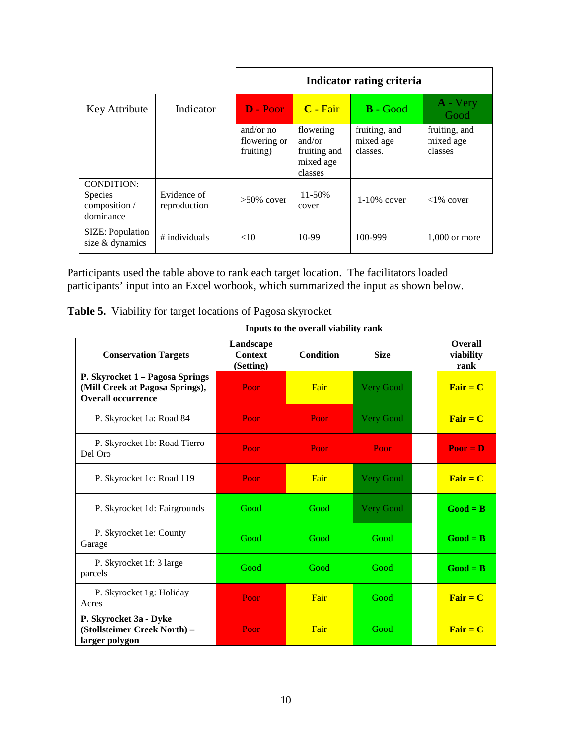|                                                                   |                             | Indicator rating criteria              |                                                             |                                        |                                       |  |
|-------------------------------------------------------------------|-----------------------------|----------------------------------------|-------------------------------------------------------------|----------------------------------------|---------------------------------------|--|
| Key Attribute                                                     | Indicator                   | $D - Poor$                             | $C$ - Fair                                                  | $B - Good$                             | A - Very<br>Good                      |  |
|                                                                   |                             | and/or no<br>flowering or<br>fruiting) | flowering<br>and/or<br>fruiting and<br>mixed age<br>classes | fruiting, and<br>mixed age<br>classes. | fruiting, and<br>mixed age<br>classes |  |
| <b>CONDITION:</b><br><b>Species</b><br>composition /<br>dominance | Evidence of<br>reproduction | $>50\%$ cover                          | 11-50%<br>cover                                             | $1-10\%$ cover                         | $<1\%$ cover                          |  |
| SIZE: Population<br>size & dynamics                               | # individuals               | <10                                    | $10-99$                                                     | 100-999                                | $1,000$ or more                       |  |

Participants used the table above to rank each target location. The facilitators loaded participants' input into an Excel worbook, which summarized the input as shown below.

Table 5. Viability for target locations of Pagosa skyrocket

|                                                                                                 | Inputs to the overall viability rank     |                  |                  |                              |
|-------------------------------------------------------------------------------------------------|------------------------------------------|------------------|------------------|------------------------------|
| <b>Conservation Targets</b>                                                                     | Landscape<br><b>Context</b><br>(Setting) | <b>Condition</b> | <b>Size</b>      | Overall<br>viability<br>rank |
| P. Skyrocket 1 - Pagosa Springs<br>(Mill Creek at Pagosa Springs),<br><b>Overall occurrence</b> | Poor                                     | Fair             | <b>Very Good</b> | $\overline{\text{Fair}} = C$ |
| P. Skyrocket 1a: Road 84                                                                        | Poor                                     | Poor             | <b>Very Good</b> | ${\bf Fair} = {\bf C}$       |
| P. Skyrocket 1b: Road Tierro<br>Del Oro                                                         | Poor                                     | Poor             | Poor             | $Poor = D$                   |
| P. Skyrocket 1c: Road 119                                                                       | Poor                                     | Fair             | <b>Very Good</b> | $\overline{\text{Fair}} = C$ |
| P. Skyrocket 1d: Fairgrounds                                                                    | Good                                     | Good             | <b>Very Good</b> | $Good = B$                   |
| P. Skyrocket 1e: County<br>Garage                                                               | Good                                     | Good             | Good             | $Good = B$                   |
| P. Skyrocket 1f: 3 large<br>parcels                                                             | Good                                     | Good             | Good             | $Good = B$                   |
| P. Skyrocket 1g: Holiday<br>Acres                                                               | Poor                                     | Fair             | Good             | $\overline{\text{Fair}} = C$ |
| P. Skyrocket 3a - Dyke<br>(Stollsteimer Creek North) -<br>larger polygon                        | Poor                                     | Fair             | Good             | $\overline{\text{Fair}} = C$ |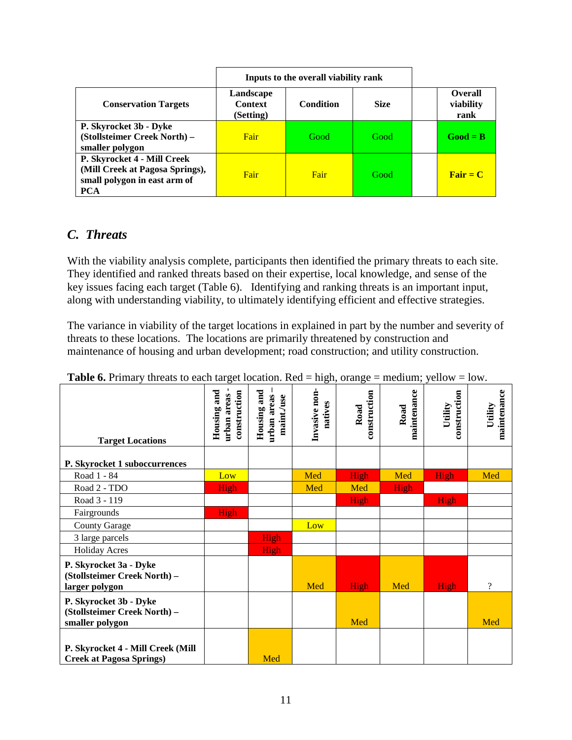|                                                                                                              | Inputs to the overall viability rank     |           |             |                                     |
|--------------------------------------------------------------------------------------------------------------|------------------------------------------|-----------|-------------|-------------------------------------|
| <b>Conservation Targets</b>                                                                                  | Landscape<br><b>Context</b><br>(Setting) | Condition | <b>Size</b> | <b>Overall</b><br>viability<br>rank |
| P. Skyrocket 3b - Dyke<br>(Stollsteimer Creek North) -<br>smaller polygon                                    | Fair                                     | Good      | Good        | $Good = B$                          |
| P. Skyrocket 4 - Mill Creek<br>(Mill Creek at Pagosa Springs),<br>small polygon in east arm of<br><b>PCA</b> | Fair                                     | Fair      | Good        | ${\bf Fair} = {\bf C}$              |

### <span id="page-10-0"></span>*C. Threats*

With the viability analysis complete, participants then identified the primary threats to each site. They identified and ranked threats based on their expertise, local knowledge, and sense of the key issues facing each target (Table 6). Identifying and ranking threats is an important input, along with understanding viability, to ultimately identifying efficient and effective strategies.

The variance in viability of the target locations in explained in part by the number and severity of threats to these locations. The locations are primarily threatened by construction and maintenance of housing and urban development; road construction; and utility construction.

| $\frac{1}{2}$                                                             | ▱                                          | $\cdots$                                 |                          | $\cdots$             |                     |                         |                        |
|---------------------------------------------------------------------------|--------------------------------------------|------------------------------------------|--------------------------|----------------------|---------------------|-------------------------|------------------------|
| <b>Target Locations</b>                                                   | Housing and<br>construction<br>urban areas | Housing and<br>urban areas<br>maint./use | Invasive non-<br>natives | construction<br>Road | maintenance<br>Road | construction<br>Utility | maintenance<br>Utility |
| P. Skyrocket 1 suboccurrences                                             |                                            |                                          |                          |                      |                     |                         |                        |
| Road 1 - 84                                                               | Low                                        |                                          | Med                      | <b>High</b>          | Med                 | High                    | Med                    |
| Road 2 - TDO                                                              | High                                       |                                          | Med                      | Med                  | High                |                         |                        |
| Road 3 - 119                                                              |                                            |                                          |                          | High                 |                     | <b>High</b>             |                        |
| Fairgrounds                                                               | High                                       |                                          |                          |                      |                     |                         |                        |
| <b>County Garage</b>                                                      |                                            |                                          | Low                      |                      |                     |                         |                        |
| 3 large parcels                                                           |                                            | <b>High</b>                              |                          |                      |                     |                         |                        |
| <b>Holiday Acres</b>                                                      |                                            | <b>High</b>                              |                          |                      |                     |                         |                        |
| P. Skyrocket 3a - Dyke<br>(Stollsteimer Creek North) -<br>larger polygon  |                                            |                                          | Med                      | <b>High</b>          | Med                 | <b>High</b>             | $\gamma$               |
| P. Skyrocket 3b - Dyke<br>(Stollsteimer Creek North) -<br>smaller polygon |                                            |                                          |                          | Med                  |                     |                         | Med                    |
| P. Skyrocket 4 - Mill Creek (Mill<br><b>Creek at Pagosa Springs)</b>      |                                            | Med                                      |                          |                      |                     |                         |                        |

**Table 6.** Primary threats to each target location. Red  $=$  high, orange  $=$  medium; yellow  $=$  low.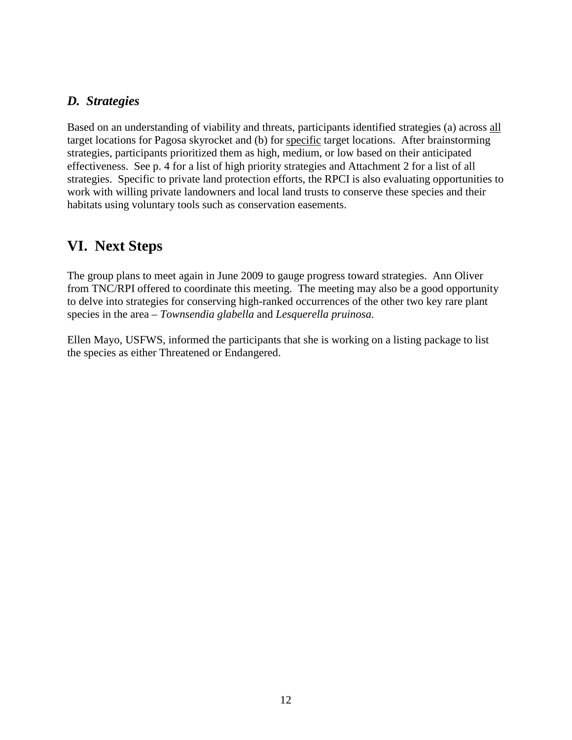#### <span id="page-11-0"></span>*D. Strategies*

Based on an understanding of viability and threats, participants identified strategies (a) across all target locations for Pagosa skyrocket and (b) for specific target locations. After brainstorming strategies, participants prioritized them as high, medium, or low based on their anticipated effectiveness. See p. 4 for a list of high priority strategies and Attachment 2 for a list of all strategies. Specific to private land protection efforts, the RPCI is also evaluating opportunities to work with willing private landowners and local land trusts to conserve these species and their habitats using voluntary tools such as conservation easements.

### <span id="page-11-1"></span>**VI. Next Steps**

The group plans to meet again in June 2009 to gauge progress toward strategies. Ann Oliver from TNC/RPI offered to coordinate this meeting. The meeting may also be a good opportunity to delve into strategies for conserving high-ranked occurrences of the other two key rare plant species in the area – *Townsendia glabella* and *Lesquerella pruinosa.*

Ellen Mayo, USFWS, informed the participants that she is working on a listing package to list the species as either Threatened or Endangered.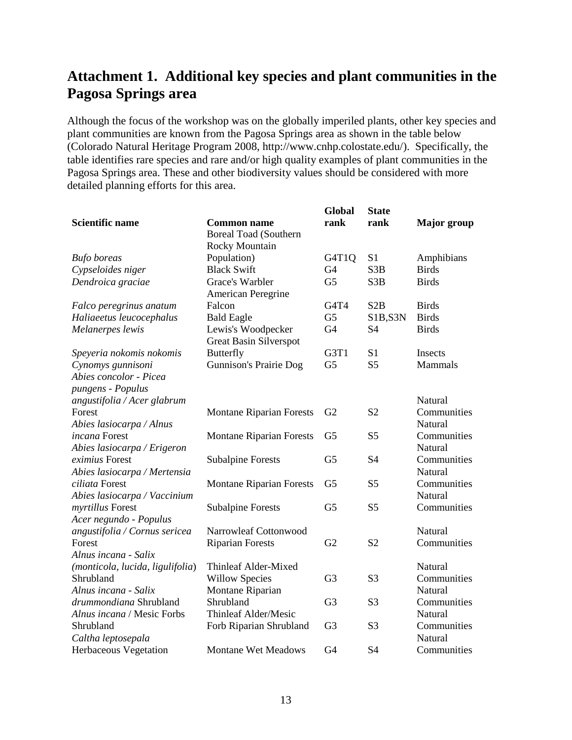## <span id="page-12-0"></span>**Attachment 1. Additional key species and plant communities in the Pagosa Springs area**

Although the focus of the workshop was on the globally imperiled plants, other key species and plant communities are known from the Pagosa Springs area as shown in the table below (Colorado Natural Heritage Program 2008, http://www.cnhp.colostate.edu/). Specifically, the table identifies rare species and rare and/or high quality examples of plant communities in the Pagosa Springs area. These and other biodiversity values should be considered with more detailed planning efforts for this area.

|                                  |                                 | Global                          | <b>State</b>   |                    |
|----------------------------------|---------------------------------|---------------------------------|----------------|--------------------|
| <b>Scientific name</b>           | <b>Common name</b>              | rank                            | rank           | <b>Major</b> group |
|                                  | <b>Boreal Toad (Southern</b>    |                                 |                |                    |
|                                  | Rocky Mountain                  |                                 |                |                    |
| <b>Bufo</b> boreas               | Population)                     | G <sub>4</sub> T <sub>1</sub> Q | S <sub>1</sub> | Amphibians         |
| Cypseloides niger                | <b>Black Swift</b>              | G <sub>4</sub>                  | S3B            | <b>Birds</b>       |
| Dendroica graciae                | Grace's Warbler                 | G <sub>5</sub>                  | S3B            | <b>Birds</b>       |
|                                  | American Peregrine              |                                 |                |                    |
| Falco peregrinus anatum          | Falcon                          | G4T4                            | S2B            | <b>Birds</b>       |
| Haliaeetus leucocephalus         | <b>Bald Eagle</b>               | G <sub>5</sub>                  | S1B, S3N       | <b>Birds</b>       |
| Melanerpes lewis                 | Lewis's Woodpecker              | G <sub>4</sub>                  | S <sub>4</sub> | <b>Birds</b>       |
|                                  | <b>Great Basin Silverspot</b>   |                                 |                |                    |
| Speyeria nokomis nokomis         | <b>Butterfly</b>                | G3T1                            | S <sub>1</sub> | Insects            |
| Cynomys gunnisoni                | Gunnison's Prairie Dog          | G <sub>5</sub>                  | S <sub>5</sub> | Mammals            |
| Abies concolor - Picea           |                                 |                                 |                |                    |
| pungens - Populus                |                                 |                                 |                |                    |
| angustifolia / Acer glabrum      |                                 |                                 |                | Natural            |
| Forest                           | <b>Montane Riparian Forests</b> | G2                              | S <sub>2</sub> | Communities        |
| Abies lasiocarpa / Alnus         |                                 |                                 |                | Natural            |
| incana Forest                    | <b>Montane Riparian Forests</b> | G <sub>5</sub>                  | S <sub>5</sub> | Communities        |
| Abies lasiocarpa / Erigeron      |                                 |                                 |                | Natural            |
| eximius Forest                   | <b>Subalpine Forests</b>        | G <sub>5</sub>                  | <b>S4</b>      | Communities        |
| Abies lasiocarpa / Mertensia     |                                 |                                 |                | Natural            |
| ciliata Forest                   | <b>Montane Riparian Forests</b> | G <sub>5</sub>                  | S <sub>5</sub> | Communities        |
| Abies lasiocarpa / Vaccinium     |                                 |                                 |                | Natural            |
| myrtillus Forest                 | <b>Subalpine Forests</b>        | G <sub>5</sub>                  | S <sub>5</sub> | Communities        |
| Acer negundo - Populus           |                                 |                                 |                |                    |
| angustifolia / Cornus sericea    | Narrowleaf Cottonwood           |                                 |                | Natural            |
| Forest                           | <b>Riparian Forests</b>         | G2                              | S <sub>2</sub> | Communities        |
| Alnus incana - Salix             |                                 |                                 |                |                    |
| (monticola, lucida, ligulifolia) | Thinleaf Alder-Mixed            |                                 |                | Natural            |
| Shrubland                        | <b>Willow Species</b>           | G <sub>3</sub>                  | S <sub>3</sub> | Communities        |
| Alnus incana - Salix             | Montane Riparian                |                                 |                | Natural            |
| drummondiana Shrubland           | Shrubland                       | G <sub>3</sub>                  | S <sub>3</sub> | Communities        |
| Alnus incana / Mesic Forbs       | Thinleaf Alder/Mesic            |                                 |                | Natural            |
| Shrubland                        | Forb Riparian Shrubland         | G <sub>3</sub>                  | S <sub>3</sub> | Communities        |
| Caltha leptosepala               |                                 |                                 |                | Natural            |
| Herbaceous Vegetation            | <b>Montane Wet Meadows</b>      | G <sub>4</sub>                  | S4             | Communities        |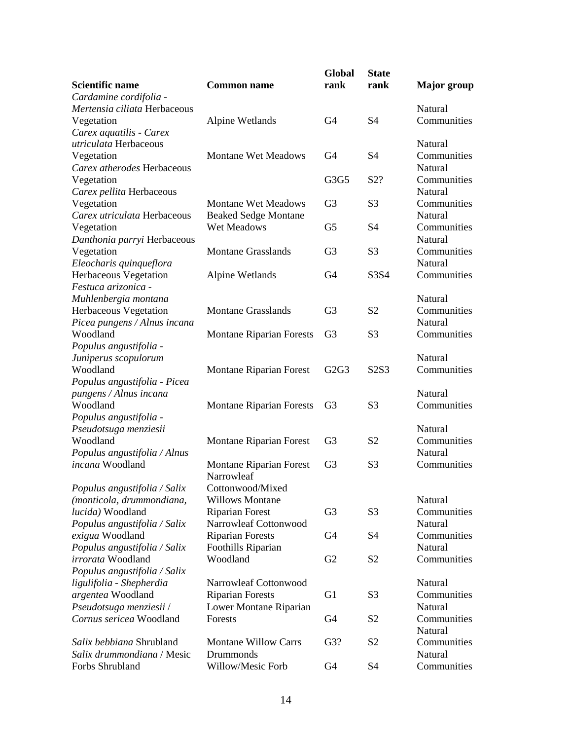| Cardamine cordifolia -<br>Mertensia ciliata Herbaceous<br>Natural<br>S <sub>4</sub><br>Communities<br>Vegetation<br>Alpine Wetlands<br>G4<br>Carex aquatilis - Carex<br>utriculata Herbaceous<br>Natural<br><b>Montane Wet Meadows</b><br>S <sub>4</sub><br>Communities<br>Vegetation<br>G4<br>Carex atherodes Herbaceous<br>Natural<br>Vegetation<br>G3G5<br>S <sub>2</sub> ?<br>Communities<br>Carex pellita Herbaceous<br>Natural<br>Vegetation<br>S <sub>3</sub><br><b>Montane Wet Meadows</b><br>G <sub>3</sub><br>Communities<br>Carex utriculata Herbaceous<br><b>Beaked Sedge Montane</b><br>Natural<br>Vegetation<br>Wet Meadows<br>G <sub>5</sub><br>S4<br>Communities<br>Natural<br>Danthonia parryi Herbaceous<br>Vegetation<br><b>Montane Grasslands</b><br>G <sub>3</sub><br>S <sub>3</sub><br>Communities<br>Natural<br>G <sub>4</sub><br>S3S4<br>Communities<br>Alpine Wetlands<br>Natural<br><b>Montane Grasslands</b><br>S <sub>2</sub><br>Communities<br>G <sub>3</sub><br>Natural<br>Woodland<br>S <sub>3</sub><br><b>Montane Riparian Forests</b><br>G <sub>3</sub><br>Communities<br>Natural<br>G2G3<br>S2S3<br>Communities<br><b>Montane Riparian Forest</b><br>Populus angustifolia - Picea<br>Natural<br>S <sub>3</sub><br><b>Montane Riparian Forests</b><br>G <sub>3</sub><br>Communities<br>Populus angustifolia -<br>Natural<br>Pseudotsuga menziesii<br>G <sub>3</sub><br>S <sub>2</sub><br>Communities<br><b>Montane Riparian Forest</b><br>Natural<br>Populus angustifolia / Alnus<br>G <sub>3</sub><br>S <sub>3</sub><br><b>Montane Riparian Forest</b><br>Communities<br>Narrowleaf<br>Populus angustifolia / Salix<br>Cottonwood/Mixed<br>(monticola, drummondiana,<br><b>Willows Montane</b><br>Natural<br>lucida) Woodland<br>S <sub>3</sub><br><b>Riparian Forest</b><br>G <sub>3</sub><br>Communities<br>Populus angustifolia / Salix<br>Narrowleaf Cottonwood<br>Natural<br><b>Riparian Forests</b><br>Communities<br>exigua Woodland<br>G4<br>S4<br>Natural<br>Populus angustifolia / Salix<br>Foothills Riparian<br>Woodland<br>S <sub>2</sub><br>G <sub>2</sub><br>Communities<br>Populus angustifolia / Salix<br>ligulifolia - Shepherdia<br>Narrowleaf Cottonwood<br>Natural<br><b>Riparian Forests</b><br>G <sub>1</sub><br>S <sub>3</sub><br>Communities<br>argentea Woodland<br>Natural<br>Pseudotsuga menziesii /<br>Lower Montane Riparian<br>Cornus sericea Woodland<br>G <sub>4</sub><br>Communities<br>Forests<br>S2<br>Natural<br>Communities<br>Salix bebbiana Shrubland<br><b>Montane Willow Carrs</b><br>G3?<br>S <sub>2</sub><br>Drummonds<br>Salix drummondiana / Mesic<br>Natural<br>Willow/Mesic Forb<br>G4<br>S4<br>Communities |                              |                    | <b>Global</b> | <b>State</b> |                    |
|-----------------------------------------------------------------------------------------------------------------------------------------------------------------------------------------------------------------------------------------------------------------------------------------------------------------------------------------------------------------------------------------------------------------------------------------------------------------------------------------------------------------------------------------------------------------------------------------------------------------------------------------------------------------------------------------------------------------------------------------------------------------------------------------------------------------------------------------------------------------------------------------------------------------------------------------------------------------------------------------------------------------------------------------------------------------------------------------------------------------------------------------------------------------------------------------------------------------------------------------------------------------------------------------------------------------------------------------------------------------------------------------------------------------------------------------------------------------------------------------------------------------------------------------------------------------------------------------------------------------------------------------------------------------------------------------------------------------------------------------------------------------------------------------------------------------------------------------------------------------------------------------------------------------------------------------------------------------------------------------------------------------------------------------------------------------------------------------------------------------------------------------------------------------------------------------------------------------------------------------------------------------------------------------------------------------------------------------------------------------------------------------------------------------------------------------------------------------------------------------------------------------------------------------------------------------------------------------------------------------------------------------------------------------------------------------------|------------------------------|--------------------|---------------|--------------|--------------------|
|                                                                                                                                                                                                                                                                                                                                                                                                                                                                                                                                                                                                                                                                                                                                                                                                                                                                                                                                                                                                                                                                                                                                                                                                                                                                                                                                                                                                                                                                                                                                                                                                                                                                                                                                                                                                                                                                                                                                                                                                                                                                                                                                                                                                                                                                                                                                                                                                                                                                                                                                                                                                                                                                                               | <b>Scientific name</b>       | <b>Common name</b> | rank          | rank         | <b>Major</b> group |
|                                                                                                                                                                                                                                                                                                                                                                                                                                                                                                                                                                                                                                                                                                                                                                                                                                                                                                                                                                                                                                                                                                                                                                                                                                                                                                                                                                                                                                                                                                                                                                                                                                                                                                                                                                                                                                                                                                                                                                                                                                                                                                                                                                                                                                                                                                                                                                                                                                                                                                                                                                                                                                                                                               |                              |                    |               |              |                    |
|                                                                                                                                                                                                                                                                                                                                                                                                                                                                                                                                                                                                                                                                                                                                                                                                                                                                                                                                                                                                                                                                                                                                                                                                                                                                                                                                                                                                                                                                                                                                                                                                                                                                                                                                                                                                                                                                                                                                                                                                                                                                                                                                                                                                                                                                                                                                                                                                                                                                                                                                                                                                                                                                                               |                              |                    |               |              |                    |
|                                                                                                                                                                                                                                                                                                                                                                                                                                                                                                                                                                                                                                                                                                                                                                                                                                                                                                                                                                                                                                                                                                                                                                                                                                                                                                                                                                                                                                                                                                                                                                                                                                                                                                                                                                                                                                                                                                                                                                                                                                                                                                                                                                                                                                                                                                                                                                                                                                                                                                                                                                                                                                                                                               |                              |                    |               |              |                    |
|                                                                                                                                                                                                                                                                                                                                                                                                                                                                                                                                                                                                                                                                                                                                                                                                                                                                                                                                                                                                                                                                                                                                                                                                                                                                                                                                                                                                                                                                                                                                                                                                                                                                                                                                                                                                                                                                                                                                                                                                                                                                                                                                                                                                                                                                                                                                                                                                                                                                                                                                                                                                                                                                                               |                              |                    |               |              |                    |
|                                                                                                                                                                                                                                                                                                                                                                                                                                                                                                                                                                                                                                                                                                                                                                                                                                                                                                                                                                                                                                                                                                                                                                                                                                                                                                                                                                                                                                                                                                                                                                                                                                                                                                                                                                                                                                                                                                                                                                                                                                                                                                                                                                                                                                                                                                                                                                                                                                                                                                                                                                                                                                                                                               |                              |                    |               |              |                    |
|                                                                                                                                                                                                                                                                                                                                                                                                                                                                                                                                                                                                                                                                                                                                                                                                                                                                                                                                                                                                                                                                                                                                                                                                                                                                                                                                                                                                                                                                                                                                                                                                                                                                                                                                                                                                                                                                                                                                                                                                                                                                                                                                                                                                                                                                                                                                                                                                                                                                                                                                                                                                                                                                                               |                              |                    |               |              |                    |
|                                                                                                                                                                                                                                                                                                                                                                                                                                                                                                                                                                                                                                                                                                                                                                                                                                                                                                                                                                                                                                                                                                                                                                                                                                                                                                                                                                                                                                                                                                                                                                                                                                                                                                                                                                                                                                                                                                                                                                                                                                                                                                                                                                                                                                                                                                                                                                                                                                                                                                                                                                                                                                                                                               |                              |                    |               |              |                    |
|                                                                                                                                                                                                                                                                                                                                                                                                                                                                                                                                                                                                                                                                                                                                                                                                                                                                                                                                                                                                                                                                                                                                                                                                                                                                                                                                                                                                                                                                                                                                                                                                                                                                                                                                                                                                                                                                                                                                                                                                                                                                                                                                                                                                                                                                                                                                                                                                                                                                                                                                                                                                                                                                                               |                              |                    |               |              |                    |
|                                                                                                                                                                                                                                                                                                                                                                                                                                                                                                                                                                                                                                                                                                                                                                                                                                                                                                                                                                                                                                                                                                                                                                                                                                                                                                                                                                                                                                                                                                                                                                                                                                                                                                                                                                                                                                                                                                                                                                                                                                                                                                                                                                                                                                                                                                                                                                                                                                                                                                                                                                                                                                                                                               |                              |                    |               |              |                    |
|                                                                                                                                                                                                                                                                                                                                                                                                                                                                                                                                                                                                                                                                                                                                                                                                                                                                                                                                                                                                                                                                                                                                                                                                                                                                                                                                                                                                                                                                                                                                                                                                                                                                                                                                                                                                                                                                                                                                                                                                                                                                                                                                                                                                                                                                                                                                                                                                                                                                                                                                                                                                                                                                                               |                              |                    |               |              |                    |
|                                                                                                                                                                                                                                                                                                                                                                                                                                                                                                                                                                                                                                                                                                                                                                                                                                                                                                                                                                                                                                                                                                                                                                                                                                                                                                                                                                                                                                                                                                                                                                                                                                                                                                                                                                                                                                                                                                                                                                                                                                                                                                                                                                                                                                                                                                                                                                                                                                                                                                                                                                                                                                                                                               |                              |                    |               |              |                    |
|                                                                                                                                                                                                                                                                                                                                                                                                                                                                                                                                                                                                                                                                                                                                                                                                                                                                                                                                                                                                                                                                                                                                                                                                                                                                                                                                                                                                                                                                                                                                                                                                                                                                                                                                                                                                                                                                                                                                                                                                                                                                                                                                                                                                                                                                                                                                                                                                                                                                                                                                                                                                                                                                                               |                              |                    |               |              |                    |
|                                                                                                                                                                                                                                                                                                                                                                                                                                                                                                                                                                                                                                                                                                                                                                                                                                                                                                                                                                                                                                                                                                                                                                                                                                                                                                                                                                                                                                                                                                                                                                                                                                                                                                                                                                                                                                                                                                                                                                                                                                                                                                                                                                                                                                                                                                                                                                                                                                                                                                                                                                                                                                                                                               |                              |                    |               |              |                    |
|                                                                                                                                                                                                                                                                                                                                                                                                                                                                                                                                                                                                                                                                                                                                                                                                                                                                                                                                                                                                                                                                                                                                                                                                                                                                                                                                                                                                                                                                                                                                                                                                                                                                                                                                                                                                                                                                                                                                                                                                                                                                                                                                                                                                                                                                                                                                                                                                                                                                                                                                                                                                                                                                                               |                              |                    |               |              |                    |
|                                                                                                                                                                                                                                                                                                                                                                                                                                                                                                                                                                                                                                                                                                                                                                                                                                                                                                                                                                                                                                                                                                                                                                                                                                                                                                                                                                                                                                                                                                                                                                                                                                                                                                                                                                                                                                                                                                                                                                                                                                                                                                                                                                                                                                                                                                                                                                                                                                                                                                                                                                                                                                                                                               | Eleocharis quinqueflora      |                    |               |              |                    |
|                                                                                                                                                                                                                                                                                                                                                                                                                                                                                                                                                                                                                                                                                                                                                                                                                                                                                                                                                                                                                                                                                                                                                                                                                                                                                                                                                                                                                                                                                                                                                                                                                                                                                                                                                                                                                                                                                                                                                                                                                                                                                                                                                                                                                                                                                                                                                                                                                                                                                                                                                                                                                                                                                               | Herbaceous Vegetation        |                    |               |              |                    |
|                                                                                                                                                                                                                                                                                                                                                                                                                                                                                                                                                                                                                                                                                                                                                                                                                                                                                                                                                                                                                                                                                                                                                                                                                                                                                                                                                                                                                                                                                                                                                                                                                                                                                                                                                                                                                                                                                                                                                                                                                                                                                                                                                                                                                                                                                                                                                                                                                                                                                                                                                                                                                                                                                               | Festuca arizonica -          |                    |               |              |                    |
|                                                                                                                                                                                                                                                                                                                                                                                                                                                                                                                                                                                                                                                                                                                                                                                                                                                                                                                                                                                                                                                                                                                                                                                                                                                                                                                                                                                                                                                                                                                                                                                                                                                                                                                                                                                                                                                                                                                                                                                                                                                                                                                                                                                                                                                                                                                                                                                                                                                                                                                                                                                                                                                                                               | Muhlenbergia montana         |                    |               |              |                    |
|                                                                                                                                                                                                                                                                                                                                                                                                                                                                                                                                                                                                                                                                                                                                                                                                                                                                                                                                                                                                                                                                                                                                                                                                                                                                                                                                                                                                                                                                                                                                                                                                                                                                                                                                                                                                                                                                                                                                                                                                                                                                                                                                                                                                                                                                                                                                                                                                                                                                                                                                                                                                                                                                                               | Herbaceous Vegetation        |                    |               |              |                    |
|                                                                                                                                                                                                                                                                                                                                                                                                                                                                                                                                                                                                                                                                                                                                                                                                                                                                                                                                                                                                                                                                                                                                                                                                                                                                                                                                                                                                                                                                                                                                                                                                                                                                                                                                                                                                                                                                                                                                                                                                                                                                                                                                                                                                                                                                                                                                                                                                                                                                                                                                                                                                                                                                                               | Picea pungens / Alnus incana |                    |               |              |                    |
|                                                                                                                                                                                                                                                                                                                                                                                                                                                                                                                                                                                                                                                                                                                                                                                                                                                                                                                                                                                                                                                                                                                                                                                                                                                                                                                                                                                                                                                                                                                                                                                                                                                                                                                                                                                                                                                                                                                                                                                                                                                                                                                                                                                                                                                                                                                                                                                                                                                                                                                                                                                                                                                                                               |                              |                    |               |              |                    |
|                                                                                                                                                                                                                                                                                                                                                                                                                                                                                                                                                                                                                                                                                                                                                                                                                                                                                                                                                                                                                                                                                                                                                                                                                                                                                                                                                                                                                                                                                                                                                                                                                                                                                                                                                                                                                                                                                                                                                                                                                                                                                                                                                                                                                                                                                                                                                                                                                                                                                                                                                                                                                                                                                               | Populus angustifolia -       |                    |               |              |                    |
|                                                                                                                                                                                                                                                                                                                                                                                                                                                                                                                                                                                                                                                                                                                                                                                                                                                                                                                                                                                                                                                                                                                                                                                                                                                                                                                                                                                                                                                                                                                                                                                                                                                                                                                                                                                                                                                                                                                                                                                                                                                                                                                                                                                                                                                                                                                                                                                                                                                                                                                                                                                                                                                                                               | Juniperus scopulorum         |                    |               |              |                    |
|                                                                                                                                                                                                                                                                                                                                                                                                                                                                                                                                                                                                                                                                                                                                                                                                                                                                                                                                                                                                                                                                                                                                                                                                                                                                                                                                                                                                                                                                                                                                                                                                                                                                                                                                                                                                                                                                                                                                                                                                                                                                                                                                                                                                                                                                                                                                                                                                                                                                                                                                                                                                                                                                                               | Woodland                     |                    |               |              |                    |
|                                                                                                                                                                                                                                                                                                                                                                                                                                                                                                                                                                                                                                                                                                                                                                                                                                                                                                                                                                                                                                                                                                                                                                                                                                                                                                                                                                                                                                                                                                                                                                                                                                                                                                                                                                                                                                                                                                                                                                                                                                                                                                                                                                                                                                                                                                                                                                                                                                                                                                                                                                                                                                                                                               |                              |                    |               |              |                    |
|                                                                                                                                                                                                                                                                                                                                                                                                                                                                                                                                                                                                                                                                                                                                                                                                                                                                                                                                                                                                                                                                                                                                                                                                                                                                                                                                                                                                                                                                                                                                                                                                                                                                                                                                                                                                                                                                                                                                                                                                                                                                                                                                                                                                                                                                                                                                                                                                                                                                                                                                                                                                                                                                                               | pungens / Alnus incana       |                    |               |              |                    |
|                                                                                                                                                                                                                                                                                                                                                                                                                                                                                                                                                                                                                                                                                                                                                                                                                                                                                                                                                                                                                                                                                                                                                                                                                                                                                                                                                                                                                                                                                                                                                                                                                                                                                                                                                                                                                                                                                                                                                                                                                                                                                                                                                                                                                                                                                                                                                                                                                                                                                                                                                                                                                                                                                               | Woodland                     |                    |               |              |                    |
|                                                                                                                                                                                                                                                                                                                                                                                                                                                                                                                                                                                                                                                                                                                                                                                                                                                                                                                                                                                                                                                                                                                                                                                                                                                                                                                                                                                                                                                                                                                                                                                                                                                                                                                                                                                                                                                                                                                                                                                                                                                                                                                                                                                                                                                                                                                                                                                                                                                                                                                                                                                                                                                                                               |                              |                    |               |              |                    |
|                                                                                                                                                                                                                                                                                                                                                                                                                                                                                                                                                                                                                                                                                                                                                                                                                                                                                                                                                                                                                                                                                                                                                                                                                                                                                                                                                                                                                                                                                                                                                                                                                                                                                                                                                                                                                                                                                                                                                                                                                                                                                                                                                                                                                                                                                                                                                                                                                                                                                                                                                                                                                                                                                               |                              |                    |               |              |                    |
|                                                                                                                                                                                                                                                                                                                                                                                                                                                                                                                                                                                                                                                                                                                                                                                                                                                                                                                                                                                                                                                                                                                                                                                                                                                                                                                                                                                                                                                                                                                                                                                                                                                                                                                                                                                                                                                                                                                                                                                                                                                                                                                                                                                                                                                                                                                                                                                                                                                                                                                                                                                                                                                                                               | Woodland                     |                    |               |              |                    |
|                                                                                                                                                                                                                                                                                                                                                                                                                                                                                                                                                                                                                                                                                                                                                                                                                                                                                                                                                                                                                                                                                                                                                                                                                                                                                                                                                                                                                                                                                                                                                                                                                                                                                                                                                                                                                                                                                                                                                                                                                                                                                                                                                                                                                                                                                                                                                                                                                                                                                                                                                                                                                                                                                               |                              |                    |               |              |                    |
|                                                                                                                                                                                                                                                                                                                                                                                                                                                                                                                                                                                                                                                                                                                                                                                                                                                                                                                                                                                                                                                                                                                                                                                                                                                                                                                                                                                                                                                                                                                                                                                                                                                                                                                                                                                                                                                                                                                                                                                                                                                                                                                                                                                                                                                                                                                                                                                                                                                                                                                                                                                                                                                                                               | incana Woodland              |                    |               |              |                    |
|                                                                                                                                                                                                                                                                                                                                                                                                                                                                                                                                                                                                                                                                                                                                                                                                                                                                                                                                                                                                                                                                                                                                                                                                                                                                                                                                                                                                                                                                                                                                                                                                                                                                                                                                                                                                                                                                                                                                                                                                                                                                                                                                                                                                                                                                                                                                                                                                                                                                                                                                                                                                                                                                                               |                              |                    |               |              |                    |
|                                                                                                                                                                                                                                                                                                                                                                                                                                                                                                                                                                                                                                                                                                                                                                                                                                                                                                                                                                                                                                                                                                                                                                                                                                                                                                                                                                                                                                                                                                                                                                                                                                                                                                                                                                                                                                                                                                                                                                                                                                                                                                                                                                                                                                                                                                                                                                                                                                                                                                                                                                                                                                                                                               |                              |                    |               |              |                    |
|                                                                                                                                                                                                                                                                                                                                                                                                                                                                                                                                                                                                                                                                                                                                                                                                                                                                                                                                                                                                                                                                                                                                                                                                                                                                                                                                                                                                                                                                                                                                                                                                                                                                                                                                                                                                                                                                                                                                                                                                                                                                                                                                                                                                                                                                                                                                                                                                                                                                                                                                                                                                                                                                                               |                              |                    |               |              |                    |
|                                                                                                                                                                                                                                                                                                                                                                                                                                                                                                                                                                                                                                                                                                                                                                                                                                                                                                                                                                                                                                                                                                                                                                                                                                                                                                                                                                                                                                                                                                                                                                                                                                                                                                                                                                                                                                                                                                                                                                                                                                                                                                                                                                                                                                                                                                                                                                                                                                                                                                                                                                                                                                                                                               |                              |                    |               |              |                    |
|                                                                                                                                                                                                                                                                                                                                                                                                                                                                                                                                                                                                                                                                                                                                                                                                                                                                                                                                                                                                                                                                                                                                                                                                                                                                                                                                                                                                                                                                                                                                                                                                                                                                                                                                                                                                                                                                                                                                                                                                                                                                                                                                                                                                                                                                                                                                                                                                                                                                                                                                                                                                                                                                                               |                              |                    |               |              |                    |
|                                                                                                                                                                                                                                                                                                                                                                                                                                                                                                                                                                                                                                                                                                                                                                                                                                                                                                                                                                                                                                                                                                                                                                                                                                                                                                                                                                                                                                                                                                                                                                                                                                                                                                                                                                                                                                                                                                                                                                                                                                                                                                                                                                                                                                                                                                                                                                                                                                                                                                                                                                                                                                                                                               |                              |                    |               |              |                    |
|                                                                                                                                                                                                                                                                                                                                                                                                                                                                                                                                                                                                                                                                                                                                                                                                                                                                                                                                                                                                                                                                                                                                                                                                                                                                                                                                                                                                                                                                                                                                                                                                                                                                                                                                                                                                                                                                                                                                                                                                                                                                                                                                                                                                                                                                                                                                                                                                                                                                                                                                                                                                                                                                                               |                              |                    |               |              |                    |
|                                                                                                                                                                                                                                                                                                                                                                                                                                                                                                                                                                                                                                                                                                                                                                                                                                                                                                                                                                                                                                                                                                                                                                                                                                                                                                                                                                                                                                                                                                                                                                                                                                                                                                                                                                                                                                                                                                                                                                                                                                                                                                                                                                                                                                                                                                                                                                                                                                                                                                                                                                                                                                                                                               | irrorata Woodland            |                    |               |              |                    |
|                                                                                                                                                                                                                                                                                                                                                                                                                                                                                                                                                                                                                                                                                                                                                                                                                                                                                                                                                                                                                                                                                                                                                                                                                                                                                                                                                                                                                                                                                                                                                                                                                                                                                                                                                                                                                                                                                                                                                                                                                                                                                                                                                                                                                                                                                                                                                                                                                                                                                                                                                                                                                                                                                               |                              |                    |               |              |                    |
|                                                                                                                                                                                                                                                                                                                                                                                                                                                                                                                                                                                                                                                                                                                                                                                                                                                                                                                                                                                                                                                                                                                                                                                                                                                                                                                                                                                                                                                                                                                                                                                                                                                                                                                                                                                                                                                                                                                                                                                                                                                                                                                                                                                                                                                                                                                                                                                                                                                                                                                                                                                                                                                                                               |                              |                    |               |              |                    |
|                                                                                                                                                                                                                                                                                                                                                                                                                                                                                                                                                                                                                                                                                                                                                                                                                                                                                                                                                                                                                                                                                                                                                                                                                                                                                                                                                                                                                                                                                                                                                                                                                                                                                                                                                                                                                                                                                                                                                                                                                                                                                                                                                                                                                                                                                                                                                                                                                                                                                                                                                                                                                                                                                               |                              |                    |               |              |                    |
|                                                                                                                                                                                                                                                                                                                                                                                                                                                                                                                                                                                                                                                                                                                                                                                                                                                                                                                                                                                                                                                                                                                                                                                                                                                                                                                                                                                                                                                                                                                                                                                                                                                                                                                                                                                                                                                                                                                                                                                                                                                                                                                                                                                                                                                                                                                                                                                                                                                                                                                                                                                                                                                                                               |                              |                    |               |              |                    |
|                                                                                                                                                                                                                                                                                                                                                                                                                                                                                                                                                                                                                                                                                                                                                                                                                                                                                                                                                                                                                                                                                                                                                                                                                                                                                                                                                                                                                                                                                                                                                                                                                                                                                                                                                                                                                                                                                                                                                                                                                                                                                                                                                                                                                                                                                                                                                                                                                                                                                                                                                                                                                                                                                               |                              |                    |               |              |                    |
|                                                                                                                                                                                                                                                                                                                                                                                                                                                                                                                                                                                                                                                                                                                                                                                                                                                                                                                                                                                                                                                                                                                                                                                                                                                                                                                                                                                                                                                                                                                                                                                                                                                                                                                                                                                                                                                                                                                                                                                                                                                                                                                                                                                                                                                                                                                                                                                                                                                                                                                                                                                                                                                                                               |                              |                    |               |              |                    |
|                                                                                                                                                                                                                                                                                                                                                                                                                                                                                                                                                                                                                                                                                                                                                                                                                                                                                                                                                                                                                                                                                                                                                                                                                                                                                                                                                                                                                                                                                                                                                                                                                                                                                                                                                                                                                                                                                                                                                                                                                                                                                                                                                                                                                                                                                                                                                                                                                                                                                                                                                                                                                                                                                               |                              |                    |               |              |                    |
|                                                                                                                                                                                                                                                                                                                                                                                                                                                                                                                                                                                                                                                                                                                                                                                                                                                                                                                                                                                                                                                                                                                                                                                                                                                                                                                                                                                                                                                                                                                                                                                                                                                                                                                                                                                                                                                                                                                                                                                                                                                                                                                                                                                                                                                                                                                                                                                                                                                                                                                                                                                                                                                                                               |                              |                    |               |              |                    |
|                                                                                                                                                                                                                                                                                                                                                                                                                                                                                                                                                                                                                                                                                                                                                                                                                                                                                                                                                                                                                                                                                                                                                                                                                                                                                                                                                                                                                                                                                                                                                                                                                                                                                                                                                                                                                                                                                                                                                                                                                                                                                                                                                                                                                                                                                                                                                                                                                                                                                                                                                                                                                                                                                               | Forbs Shrubland              |                    |               |              |                    |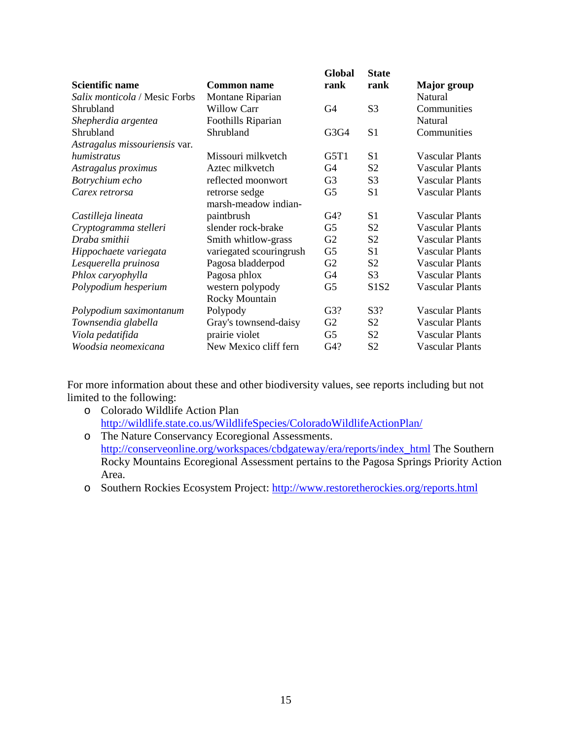|                               |                         | <b>Global</b>  | <b>State</b>   |                        |
|-------------------------------|-------------------------|----------------|----------------|------------------------|
| Scientific name               | <b>Common name</b>      | rank           | rank           | <b>Major</b> group     |
| Salix monticola / Mesic Forbs | Montane Riparian        |                |                | Natural                |
| Shrubland                     | <b>Willow Carr</b>      | G4             | S <sub>3</sub> | Communities            |
| Shepherdia argentea           | Foothills Riparian      |                |                | Natural                |
| Shrubland                     | Shrubland               | G3G4           | S <sub>1</sub> | Communities            |
| Astragalus missouriensis var. |                         |                |                |                        |
| humistratus                   | Missouri milkvetch      | G5T1           | S <sub>1</sub> | <b>Vascular Plants</b> |
| Astragalus proximus           | Aztec milkvetch         | G4             | S <sub>2</sub> | <b>Vascular Plants</b> |
| Botrychium echo               | reflected moonwort      | G <sub>3</sub> | S <sub>3</sub> | <b>Vascular Plants</b> |
| Carex retrorsa                | retrorse sedge          | G5             | S <sub>1</sub> | <b>Vascular Plants</b> |
|                               | marsh-meadow indian-    |                |                |                        |
| Castilleja lineata            | paintbrush              | G4?            | S <sub>1</sub> | <b>Vascular Plants</b> |
| Cryptogramma stelleri         | slender rock-brake      | G5             | S <sub>2</sub> | <b>Vascular Plants</b> |
| Draba smithii                 | Smith whitlow-grass     | G2             | S <sub>2</sub> | <b>Vascular Plants</b> |
| Hippochaete variegata         | variegated scouringrush | G <sub>5</sub> | S <sub>1</sub> | <b>Vascular Plants</b> |
| Lesquerella pruinosa          | Pagosa bladderpod       | G2             | S <sub>2</sub> | <b>Vascular Plants</b> |
| Phlox caryophylla             | Pagosa phlox            | G4             | S <sub>3</sub> | <b>Vascular Plants</b> |
| Polypodium hesperium          | western polypody        | G5             | S1S2           | <b>Vascular Plants</b> |
|                               | Rocky Mountain          |                |                |                        |
| Polypodium saximontanum       | Polypody                | G3?            | S3?            | <b>Vascular Plants</b> |
| Townsendia glabella           | Gray's townsend-daisy   | G2             | S <sub>2</sub> | <b>Vascular Plants</b> |
| Viola pedatifida              | prairie violet          | G <sub>5</sub> | S <sub>2</sub> | <b>Vascular Plants</b> |
| Woodsia neomexicana           | New Mexico cliff fern   | G4?            | S <sub>2</sub> | <b>Vascular Plants</b> |

For more information about these and other biodiversity values, see reports including but not limited to the following:

- o Colorado Wildlife Action Plan <http://wildlife.state.co.us/WildlifeSpecies/ColoradoWildlifeActionPlan/>
- o The Nature Conservancy Ecoregional Assessments. [http://conserveonline.org/workspaces/cbdgateway/era/reports/index\\_html](http://conserveonline.org/workspaces/cbdgateway/era/reports/index_html) The Southern Rocky Mountains Ecoregional Assessment pertains to the Pagosa Springs Priority Action Area.
- o Southern Rockies Ecosystem Project:<http://www.restoretherockies.org/reports.html>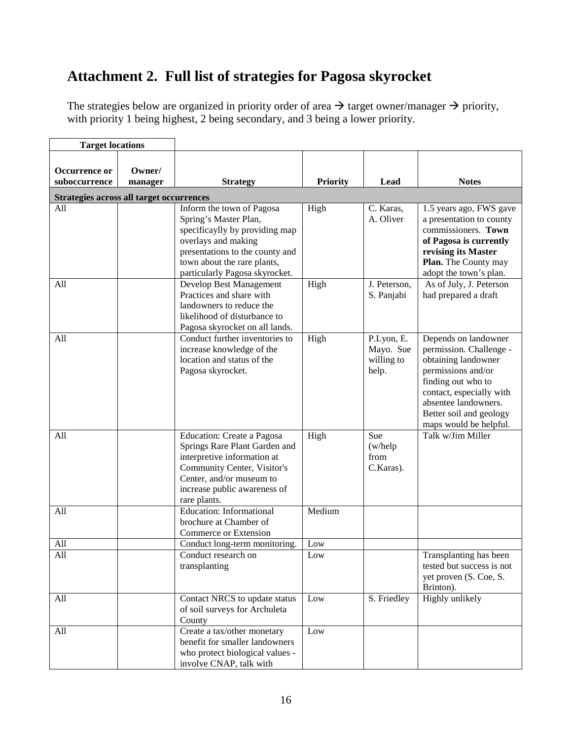# <span id="page-15-0"></span>**Attachment 2. Full list of strategies for Pagosa skyrocket**

The strategies below are organized in priority order of area  $\rightarrow$  target owner/manager  $\rightarrow$  priority, with priority 1 being highest, 2 being secondary, and 3 being a lower priority.

| <b>Target locations</b>                  |                   |                                                                                                                                                                                                                 |                 |                                                |                                                                                                                                                                                                                             |
|------------------------------------------|-------------------|-----------------------------------------------------------------------------------------------------------------------------------------------------------------------------------------------------------------|-----------------|------------------------------------------------|-----------------------------------------------------------------------------------------------------------------------------------------------------------------------------------------------------------------------------|
| Occurrence or<br>suboccurrence           | Owner/<br>manager | <b>Strategy</b>                                                                                                                                                                                                 | <b>Priority</b> | Lead                                           | <b>Notes</b>                                                                                                                                                                                                                |
| Strategies across all target occurrences |                   |                                                                                                                                                                                                                 |                 |                                                |                                                                                                                                                                                                                             |
| All                                      |                   | Inform the town of Pagosa<br>Spring's Master Plan,<br>specificaylly by providing map<br>overlays and making<br>presentations to the county and<br>town about the rare plants,<br>particularly Pagosa skyrocket. | High            | C. Karas,<br>A. Oliver                         | 1.5 years ago, FWS gave<br>a presentation to county<br>commissioners. Town<br>of Pagosa is currently<br>revising its Master<br>Plan. The County may<br>adopt the town's plan.                                               |
| All                                      |                   | Develop Best Management<br>Practices and share with<br>landowners to reduce the<br>likelihood of disturbance to<br>Pagosa skyrocket on all lands.                                                               | High            | J. Peterson,<br>S. Panjabi                     | As of July, J. Peterson<br>had prepared a draft                                                                                                                                                                             |
| All                                      |                   | Conduct further inventories to<br>increase knowledge of the<br>location and status of the<br>Pagosa skyrocket.                                                                                                  | High            | P.Lyon, E.<br>Mayo. Sue<br>willing to<br>help. | Depends on landowner<br>permission. Challenge -<br>obtaining landowner<br>permissions and/or<br>finding out who to<br>contact, especially with<br>absentee landowners.<br>Better soil and geology<br>maps would be helpful. |
| All                                      |                   | Education: Create a Pagosa<br>Springs Rare Plant Garden and<br>interpretive information at<br>Community Center, Visitor's<br>Center, and/or museum to<br>increase public awareness of<br>rare plants.           | High            | Sue<br>(w/help)<br>from<br>C.Karas).           | Talk w/Jim Miller                                                                                                                                                                                                           |
| All                                      |                   | <b>Education: Informational</b><br>brochure at Chamber of<br>Commerce or Extension                                                                                                                              | Medium          |                                                |                                                                                                                                                                                                                             |
| All                                      |                   | Conduct long-term monitoring.                                                                                                                                                                                   | Low             |                                                |                                                                                                                                                                                                                             |
| All                                      |                   | Conduct research on<br>transplanting                                                                                                                                                                            | Low             |                                                | Transplanting has been<br>tested but success is not<br>yet proven (S. Coe, S.<br>Brinton).                                                                                                                                  |
| All                                      |                   | Contact NRCS to update status<br>of soil surveys for Archuleta<br>County                                                                                                                                        | Low             | S. Friedley                                    | Highly unlikely                                                                                                                                                                                                             |
| All                                      |                   | Create a tax/other monetary<br>benefit for smaller landowners<br>who protect biological values -<br>involve CNAP, talk with                                                                                     | Low             |                                                |                                                                                                                                                                                                                             |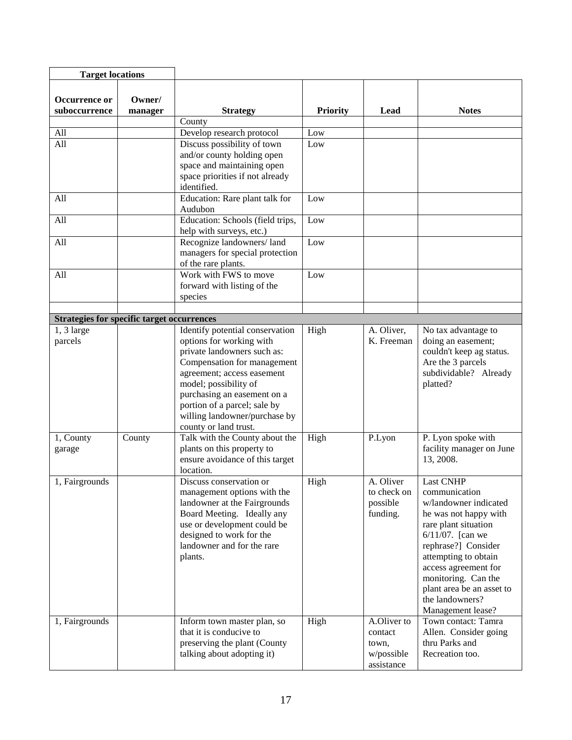| <b>Target locations</b>                           |                   |                                                         |                 |             |                                             |
|---------------------------------------------------|-------------------|---------------------------------------------------------|-----------------|-------------|---------------------------------------------|
| Occurrence or<br>suboccurrence                    | Owner/<br>manager | <b>Strategy</b>                                         | <b>Priority</b> | Lead        | <b>Notes</b>                                |
|                                                   |                   | County                                                  |                 |             |                                             |
| All                                               |                   | Develop research protocol                               | Low             |             |                                             |
| All                                               |                   | Discuss possibility of town                             | Low             |             |                                             |
|                                                   |                   | and/or county holding open                              |                 |             |                                             |
|                                                   |                   | space and maintaining open                              |                 |             |                                             |
|                                                   |                   | space priorities if not already                         |                 |             |                                             |
|                                                   |                   | identified.                                             |                 |             |                                             |
| All                                               |                   | Education: Rare plant talk for                          | Low             |             |                                             |
|                                                   |                   | Audubon                                                 |                 |             |                                             |
| All                                               |                   | Education: Schools (field trips,                        | Low             |             |                                             |
|                                                   |                   | help with surveys, etc.)                                |                 |             |                                             |
| All                                               |                   | Recognize landowners/land                               | Low             |             |                                             |
|                                                   |                   | managers for special protection                         |                 |             |                                             |
|                                                   |                   | of the rare plants.                                     |                 |             |                                             |
| All                                               |                   | Work with FWS to move                                   | Low             |             |                                             |
|                                                   |                   | forward with listing of the                             |                 |             |                                             |
|                                                   |                   | species                                                 |                 |             |                                             |
|                                                   |                   |                                                         |                 |             |                                             |
| <b>Strategies for specific target occurrences</b> |                   |                                                         |                 |             |                                             |
| $1, 3$ large                                      |                   | Identify potential conservation                         | High            | A. Oliver,  | No tax advantage to                         |
| parcels                                           |                   | options for working with                                |                 | K. Freeman  | doing an easement;                          |
|                                                   |                   | private landowners such as:                             |                 |             | couldn't keep ag status.                    |
|                                                   |                   | Compensation for management                             |                 |             | Are the 3 parcels                           |
|                                                   |                   | agreement; access easement                              |                 |             | subdividable? Already                       |
|                                                   |                   | model; possibility of                                   |                 |             | platted?                                    |
|                                                   |                   | purchasing an easement on a                             |                 |             |                                             |
|                                                   |                   | portion of a parcel; sale by                            |                 |             |                                             |
|                                                   |                   | willing landowner/purchase by                           |                 |             |                                             |
|                                                   |                   | county or land trust.                                   |                 |             |                                             |
| 1, County                                         | County            | Talk with the County about the                          | High            | P.Lyon      | P. Lyon spoke with                          |
| garage                                            |                   | plants on this property to                              |                 |             | facility manager on June                    |
|                                                   |                   | ensure avoidance of this target                         |                 |             | 13, 2008.                                   |
|                                                   |                   | location.                                               |                 |             |                                             |
| 1, Fairgrounds                                    |                   | Discuss conservation or                                 | High            | A. Oliver   | <b>Last CNHP</b>                            |
|                                                   |                   | management options with the                             |                 | to check on | communication                               |
|                                                   |                   | landowner at the Fairgrounds                            |                 | possible    | w/landowner indicated                       |
|                                                   |                   | Board Meeting. Ideally any                              |                 | funding.    | he was not happy with                       |
|                                                   |                   | use or development could be<br>designed to work for the |                 |             | rare plant situation<br>$6/11/07$ . [can we |
|                                                   |                   | landowner and for the rare                              |                 |             | rephrase?] Consider                         |
|                                                   |                   | plants.                                                 |                 |             | attempting to obtain                        |
|                                                   |                   |                                                         |                 |             | access agreement for                        |
|                                                   |                   |                                                         |                 |             | monitoring. Can the                         |
|                                                   |                   |                                                         |                 |             | plant area be an asset to                   |
|                                                   |                   |                                                         |                 |             | the landowners?                             |
|                                                   |                   |                                                         |                 |             | Management lease?                           |
| 1, Fairgrounds                                    |                   | Inform town master plan, so                             | High            | A.Oliver to | Town contact: Tamra                         |
|                                                   |                   | that it is conducive to                                 |                 | contact     | Allen. Consider going                       |
|                                                   |                   | preserving the plant (County                            |                 | town,       | thru Parks and                              |
|                                                   |                   | talking about adopting it)                              |                 | w/possible  | Recreation too.                             |
|                                                   |                   |                                                         |                 | assistance  |                                             |